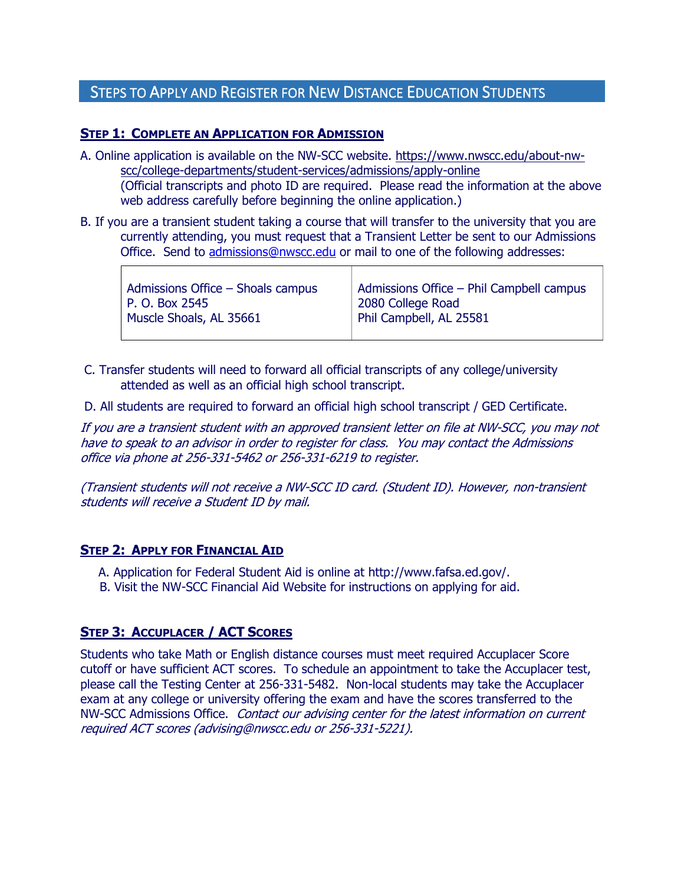# STEPS TO APPLY AND REGISTER FOR NEW DISTANCE EDUCATION STUDENTS

#### **STEP 1: COMPLETE AN APPLICATION FOR ADMISSION**

A. Online application is available on the NW-SCC website. https://www.nwscc.edu/about-nwscc/college-departments/student-services/admissions/apply-online

(Official transcripts and photo ID are required. Please read the information at the above web address carefully before beginning the online application.)

B. If you are a transient student taking a course that will transfer to the university that you are currently attending, you must request that a Transient Letter be sent to our Admissions Office. Send to [admissions@nwscc.edu](mailto:admissions@nwscc.edu) or mail to one of the following addresses:

| Admissions Office $-$ Shoals campus<br>2080 College Road<br>P. O. Box 2545<br>Phil Campbell, AL 25581<br>Muscle Shoals, AL 35661 | Admissions Office - Phil Campbell campus |
|----------------------------------------------------------------------------------------------------------------------------------|------------------------------------------|
|----------------------------------------------------------------------------------------------------------------------------------|------------------------------------------|

- C. Transfer students will need to forward all official transcripts of any college/university attended as well as an official high school transcript.
- D. All students are required to forward an official high school transcript / GED Certificate.

If you are a transient student with an approved transient letter on file at NW-SCC, you may not have to speak to an advisor in order to register for class. You may contact the Admissions office via phone at 256-331-5462 or 256-331-6219 to register.

(Transient students will not receive a NW-SCC ID card. (Student ID). However, non-transient students will receive a Student ID by mail.

#### **STEP 2: APPLY FOR FINANCIAL AID**

 $\Gamma$ 

- A. Application for Federal Student Aid is online at http://www.fafsa.ed.gov/.
- B. Visit the NW-SCC Financial Aid Website for instructions on applying for aid.

## **STEP 3: ACCUPLACER / ACT SCORES**

Students who take Math or English distance courses must meet required Accuplacer Score cutoff or have sufficient ACT scores. To schedule an appointment to take the Accuplacer test, please call the Testing Center at 256-331-5482. Non-local students may take the Accuplacer exam at any college or university offering the exam and have the scores transferred to the NW-SCC Admissions Office. Contact our advising center for the latest information on current required ACT scores (advising@nwscc.edu or 256-331-5221).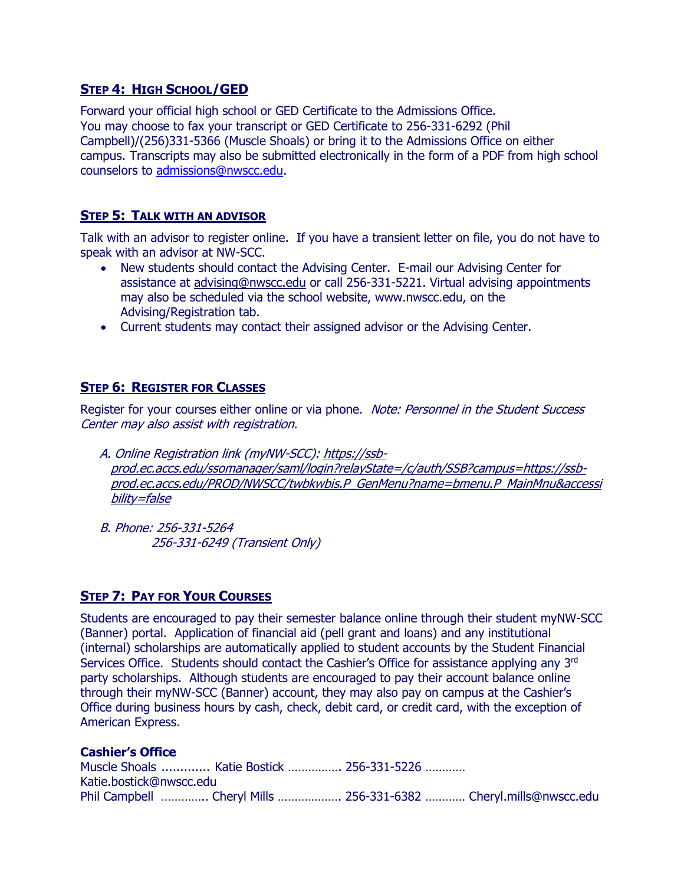## **STEP 4: HIGH SCHOOL/GED**

Forward your official high school or GED Certificate to the Admissions Office. You may choose to fax your transcript or GED Certificate to 256-331-6292 (Phil Campbell)/(256)331-5366 (Muscle Shoals) or bring it to the Admissions Office on either campus. Transcripts may also be submitted electronically in the form of a PDF from high school counselors to [admissions@nwscc.edu.](mailto:admissions@nwscc.edu)

## **STEP 5: TALK WITH AN ADVISOR**

Talk with an advisor to register online. If you have a transient letter on file, you do not have to speak with an advisor at NW-SCC.

- New students should contact the Advising Center. E-mail our Advising Center for assistance at [advising@nwscc.edu](mailto:advising@nwscc.edu?subject=New%20Student%20) or call 256-331-5221. Virtual advising appointments may also be scheduled via the school website, www.nwscc.edu, on the Advising/Registration tab.
- Current students may contact their assigned advisor or the Advising Center.

## **STEP 6: REGISTER FOR CLASSES**

Register for your courses either online or via phone. Note: Personnel in the Student Success Center may also assist with registration.

 A. Online Registration link (myNW-SCC): https://ssbprod.ec.accs.edu/ssomanager/saml/login?relayState=/c/auth/SSB?campus=https://ssbprod.ec.accs.edu/PROD/NWSCC/twbkwbis.P\_GenMenu?name=bmenu.P\_MainMnu&accessi bility=false

 B. Phone: 256-331-5264 256-331-6249 (Transient Only)

## **STEP 7: PAY FOR YOUR COURSES**

Students are encouraged to pay their semester balance online through their student myNW-SCC (Banner) portal. Application of financial aid (pell grant and loans) and any institutional (internal) scholarships are automatically applied to student accounts by the Student Financial Services Office. Students should contact the Cashier's Office for assistance applying any 3<sup>rd</sup> party scholarships. Although students are encouraged to pay their account balance online through their myNW-SCC (Banner) account, they may also pay on campus at the Cashier's Office during business hours by cash, check, debit card, or credit card, with the exception of American Express.

#### **Cashier's Office**

|                         | Muscle Shoals  Katie Bostick  256-331-5226 |                                                                   |
|-------------------------|--------------------------------------------|-------------------------------------------------------------------|
| Katie.bostick@nwscc.edu |                                            |                                                                   |
|                         |                                            | Phil Campbell  Cheryl Mills  256-331-6382  Cheryl.mills@nwscc.edu |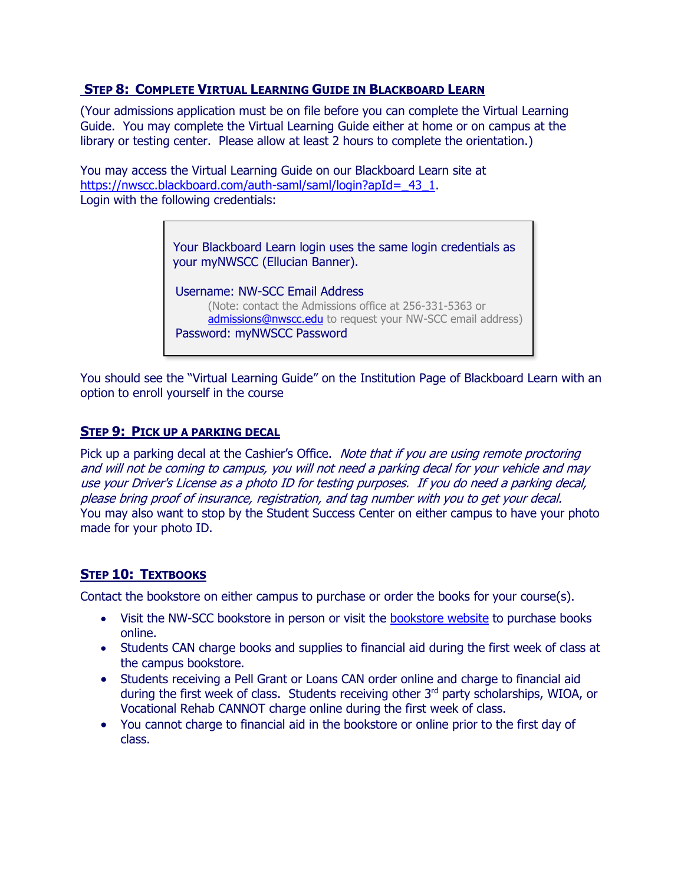## **STEP 8: COMPLETE VIRTUAL LEARNING GUIDE IN BLACKBOARD LEARN**

(Your admissions application must be on file before you can complete the Virtual Learning Guide. You may complete the Virtual Learning Guide either at home or on campus at the library or testing center. Please allow at least 2 hours to complete the orientation.)

You may access the Virtual Learning Guide on our Blackboard Learn site at https://nwscc.blackboard.com/auth-saml/saml/login?apId= 43\_1. Login with the following credentials:

> Your Blackboard Learn login uses the same login credentials as your myNWSCC (Ellucian Banner).

 Username: NW-SCC Email Address (Note: contact the Admissions office at 256-331-5363 or [admissions@nwscc.edu](mailto:admissions@nwscc.edu) to request your NW-SCC email address) Password: myNWSCC Password

You should see the "Virtual Learning Guide" on the Institution Page of Blackboard Learn with an option to enroll yourself in the course

#### **STEP 9: PICK UP A PARKING DECAL**

Pick up a parking decal at the Cashier's Office. Note that if you are using remote proctoring and will not be coming to campus, you will not need a parking decal for your vehicle and may use your Driver's License as a photo ID for testing purposes. If you do need a parking decal, please bring proof of insurance, registration, and tag number with you to get your decal. You may also want to stop by the Student Success Center on either campus to have your photo made for your photo ID.

## **STEP 10: TEXTBOOKS**

Contact the bookstore on either campus to purchase or order the books for your course(s).

- Visit the NW-SCC bookstore in person or visit the [bookstore website](https://www.nwscc.edu/about-nw-scc/college-departments/bookstore) to purchase books online.
- Students CAN charge books and supplies to financial aid during the first week of class at the campus bookstore.
- Students receiving a Pell Grant or Loans CAN order online and charge to financial aid during the first week of class. Students receiving other 3rd party scholarships, WIOA, or Vocational Rehab CANNOT charge online during the first week of class.
- You cannot charge to financial aid in the bookstore or online prior to the first day of class.